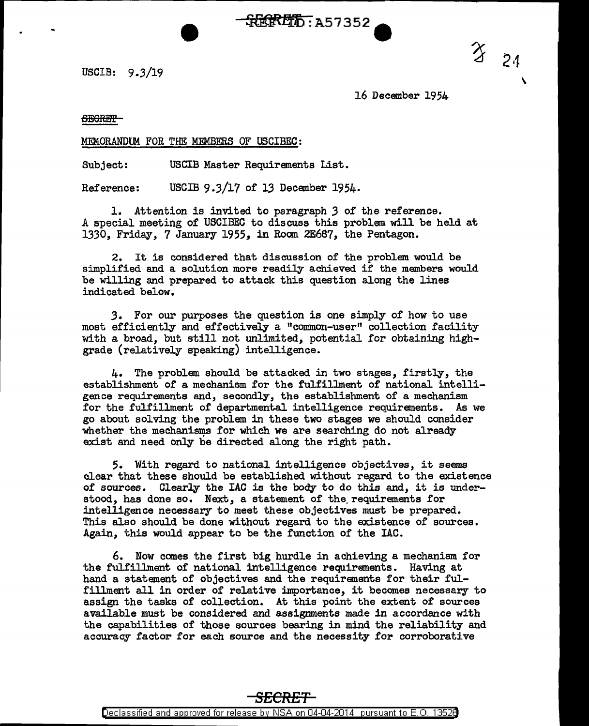USCIB: 9.3/19

16 December 1954

 $\overline{\phantom{a}}$ 

 $324$ 

## **SEGRET**

MEMORANDUM FOR THE MEMBERS OF USCIBEC:

Subject: USCIB Master Requirements List.

Reference: USCIB 9.3/17 of 13 December 1954.

1. Attention is invited to paragraph *3* of the reference. A special meeting of USCIBEC to discuss this problem will be held at 1330, Friday, 7 January 1955, in Room 2E687, the Pentagon.

~**HHKELFE**: 257352

2. It is considered that discussion of the problem would be simplified and a solution more readily achieved if the members would be willing and prepared to attack this question along the lines indicated below.

*3.* For our purposes the question is one simply of how to use most efficiently and effectively a "common-user" collection facility with a broad, but still not unlimited, potential for obtaining highgrade (relatively speaking) intelligence.

4. The problem should be attacked in two stages, firstly, the establishment of a mechanism for the fulfillment of national intelligence requirements and, secondly, the establishment of a mechanism for the fulfillment of departmental intelligence requirements. As we go about solving the problem in these two stages we should consider whether the mechanisms for which we are searching do not already exist and need only be directed along the right path.

*5.* With regard to national intelligence objectives, it seems clear that these should be established without regard to the existence of sources. Clearly the IAC is the body to do this and, it is understood, has done so. Next, a statement of the, requirements for intelligence necessary to meet these objectives must be prepared. This also should be done without regard to the existence of sources. Again, this would appear to be the function of the IAC.

6. Now comes the first big hurdle in achieving a mechanism for the fulfillment of national intelligence requirements. Having at hand a statement of objectives and the requirements for their fulfillment all in order of relative importance, it becomes necessary to assign the tasks of collection. At this point the extent of sources available must be considered and assignments made in accordance with the capabilities of those sources bearing in mind the reliability and accuracy factor for each source and the necessity £or corroborative

**SECRET**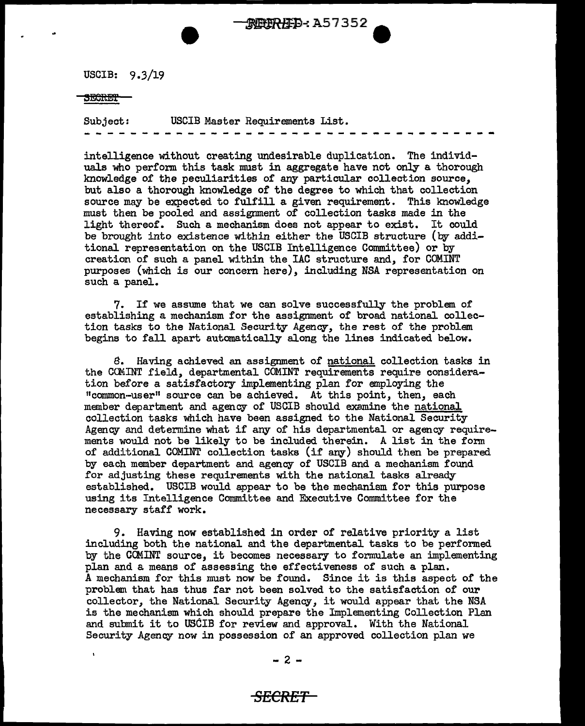USCIB: 9.3/19

## 5<del>ECRET</del>

Subject: USCIB Master Requirements List. - - - - - - -- - - - - -- - - - - -- --- - -- - - <sup>~</sup>

intelligence without creating undesirable duplication. The individuals who perform this task must in aggregate have not only a thorough knowledge of the peculiarities of any particular collection source, but also a thorough knowledge of the degree to which that collection source may be expected to fulfill a given requirement. This knowledge must then be pooled and assignment of collection tasks made in the light thereof. Such a mechanism does not appear to exist. It could be brought into existence within either the USCIB structure (by additional representation on the USCIB Intelligence Committee) or by creation of such a panel within the IAC structure and, for COM.INT purposes (which is our concern here), including NSA representation on such a panel.

\$PERED: A57352

 $\bullet$ 

7. If we assume that we can solve successfully the problem of establishing a mechanism for the assignment of broad national collection tasks to the National Security Agency, the rest of the problem begins to fall apart automatically along the lines indicated below.

8. Having achieved an assignment of national collection tasks in the COMINT field, departmental COMINT requirements require consideration before a satisfactory implementing plan for employing the <sup>11</sup> common·-user <sup>11</sup>source can be achieved. At this point, then, each member department and agency of USCIB should examine the national collection tasks which have been assigned to the National Security Agency and determine what if any of his departmental or agency requirements would not be likely to be included therein. A list in the fonn of additional COMINT collection tasks (if any) should then be prepared by each member department and agency of USCIB and a mechanism found for adjusting these requirements with the national tasks already established. USCIB would appear to be the mechanism for this purpose using its Intelligence Committee and Executive Committee for the necessary staff work.

9. Having now established in order of relative priority a list including both the national and the departmental tasks to be performed by the CCMINT source, it becomes necessary to formulate an implementing plan and a means of assessing the effectiveness of such a plan. A mechanism for this must now be found. Since it is this aspect of the problem that has thus far not been solved to the satisfaction of our collector, the National Security Agency, it would appear that the NSA is the mechanism which should prepare the Implementing Collection Plan and submit it to USCIB for review and approval. With the National Security Agency now in possession of an approved collection plan we

## *SECRET*